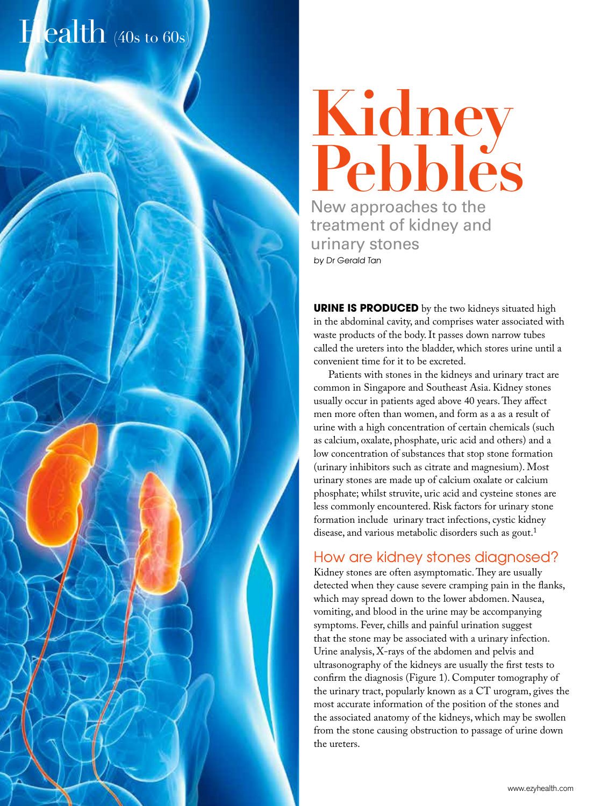# Health (40s to 60s)

**Kidney Pebbles** New approaches to the treatment of kidney and urinary stones by Dr Gerald Tan

**URINE IS PRODUCED** by the two kidneys situated high in the abdominal cavity, and comprises water associated with waste products of the body. It passes down narrow tubes called the ureters into the bladder, which stores urine until a convenient time for it to be excreted.

Patients with stones in the kidneys and urinary tract are common in Singapore and Southeast Asia. Kidney stones usually occur in patients aged above 40 years. They affect men more often than women, and form as a as a result of urine with a high concentration of certain chemicals (such as calcium, oxalate, phosphate, uric acid and others) and a low concentration of substances that stop stone formation (urinary inhibitors such as citrate and magnesium). Most urinary stones are made up of calcium oxalate or calcium phosphate; whilst struvite, uric acid and cysteine stones are less commonly encountered. Risk factors for urinary stone formation include urinary tract infections, cystic kidney disease, and various metabolic disorders such as gout.<sup>1</sup>

### How are kidney stones diagnosed?

Kidney stones are often asymptomatic. They are usually detected when they cause severe cramping pain in the flanks, which may spread down to the lower abdomen. Nausea, vomiting, and blood in the urine may be accompanying symptoms. Fever, chills and painful urination suggest that the stone may be associated with a urinary infection. Urine analysis, X-rays of the abdomen and pelvis and ultrasonography of the kidneys are usually the first tests to confirm the diagnosis (Figure 1). Computer tomography of the urinary tract, popularly known as a CT urogram, gives the most accurate information of the position of the stones and the associated anatomy of the kidneys, which may be swollen from the stone causing obstruction to passage of urine down the ureters.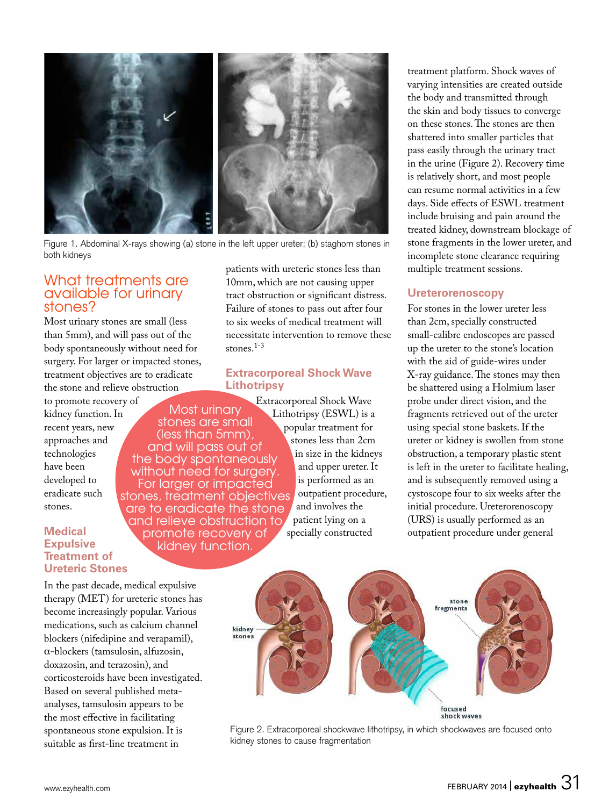

 Figure 1. Abdominal X-rays showing (a) stone in the left upper ureter; (b) staghorn stones in both kidneys

## available for urinary stones?

Most urinary stones are small (less than 5mm), and will pass out of the body spontaneously without need for surgery. For larger or impacted stones, treatment objectives are to eradicate the stone and relieve obstruction

to promote recovery of kidney function. In recent years, new approaches and technologies have been developed to eradicate such stones.

#### **Medical Expulsive Treatment of Ureteric Stones**

In the past decade, medical expulsive therapy (MET) for ureteric stones has become increasingly popular. Various medications, such as calcium channel blockers (nifedipine and verapamil), α-blockers (tamsulosin, alfuzosin, doxazosin, and terazosin), and corticosteroids have been investigated. Based on several published metaanalyses, tamsulosin appears to be the most effective in facilitating spontaneous stone expulsion. It is suitable as first-line treatment in

What treatments are  $\frac{1}{10}$   $\mu$   $\mu$   $\mu$  are not causing upper patients with ureteric stones less than What treatments are  $10<sub>mm</sub>$ , which are not causing upper tract obstruction or significant distress. Failure of stones to pass out after four to six weeks of medical treatment will necessitate intervention to remove these stones.1-3

#### **Extracorporeal Shock Wave Lithotripsy**

Most urinary stones are small (less than 5mm), and will pass out of the body spontaneously without need for surgery. For larger or impacted stones, treatment objectives are to eradicate the stone and relieve obstruction to promote recovery of kidney function.

Extracorporeal Shock Wave Lithotripsy (ESWL) is a popular treatment for stones less than 2cm in size in the kidneys and upper ureter. It is performed as an outpatient procedure, and involves the patient lying on a specially constructed

treatment platform. Shock waves of varying intensities are created outside the body and transmitted through the skin and body tissues to converge on these stones. The stones are then shattered into smaller particles that pass easily through the urinary tract in the urine (Figure 2). Recovery time is relatively short, and most people can resume normal activities in a few days. Side effects of ESWL treatment include bruising and pain around the treated kidney, downstream blockage of stone fragments in the lower ureter, and incomplete stone clearance requiring multiple treatment sessions.

#### **Ureterorenoscopy**

For stones in the lower ureter less than 2cm, specially constructed small-calibre endoscopes are passed up the ureter to the stone's location with the aid of guide-wires under X-ray guidance. The stones may then be shattered using a Holmium laser probe under direct vision, and the fragments retrieved out of the ureter using special stone baskets. If the ureter or kidney is swollen from stone obstruction, a temporary plastic stent is left in the ureter to facilitate healing, and is subsequently removed using a cystoscope four to six weeks after the initial procedure. Ureterorenoscopy (URS) is usually performed as an outpatient procedure under general



Figure 2. Extracorporeal shockwave lithotripsy, in which shockwaves are focused onto kidney stones to cause fragmentation